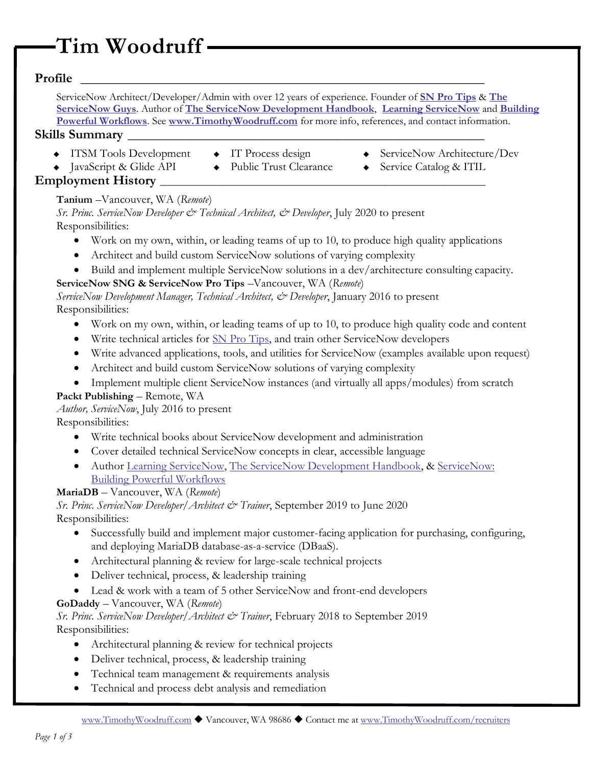# **Tim Woodruff**

# **Profile \_\_\_\_\_\_\_\_\_\_\_\_\_\_\_\_\_\_\_\_\_\_\_\_\_\_\_\_\_\_\_\_\_\_\_\_\_\_\_\_\_\_\_\_\_\_\_\_\_\_\_\_\_\_\_\_\_\_\_\_**

ServiceNow Architect/Developer/Admin with over 12 years of experience. Founder of **[SN Pro Tips](http://www.snprotips.com/)** & **[The](http://snguys.com/)  [ServiceNow Guys](http://snguys.com/)**. Author of **[The ServiceNow Development Handbook](http://handbook.sngeek.com/)**, **[Learning ServiceNow](http://lsn.sngeek.com/)** and **[Building](http://ServiceNow:%20Building%20Powerful%20Workflows)  [Powerful Workflows](http://ServiceNow:%20Building%20Powerful%20Workflows)**. See **[www.TimothyWoodruff.com](http://www.timothywoodruff.com/)** for more info, references, and contact information.

## **Skills Summary \_\_\_\_\_\_\_\_\_\_\_\_\_\_\_\_\_\_\_\_\_\_\_\_\_\_\_\_\_\_\_\_\_\_\_\_\_\_\_\_\_\_\_\_\_\_\_\_\_\_\_\_\_**

- ◆ ITSM Tools Development
- ◆ IT Process design
- ◆ ServiceNow Architecture/Dev
- ◆ JavaScript & Glide API
- ◆ Public Trust Clearance
- ◆ Service Catalog & ITIL

## **Employment History**

**Tanium** –Vancouver, WA (*Remote*)

*Sr. Princ. ServiceNow Developer & Technical Architect, & Developer*, July 2020 to present Responsibilities:

- Work on my own, within, or leading teams of up to 10, to produce high quality applications
- Architect and build custom ServiceNow solutions of varying complexity
- Build and implement multiple ServiceNow solutions in a dev/architecture consulting capacity.

## **ServiceNow SNG & ServiceNow Pro Tips** –Vancouver, WA (*Remote*)

*ServiceNow Development Manager, Technical Architect, & Developer*, January 2016 to present Responsibilities:

- Work on my own, within, or leading teams of up to 10, to produce high quality code and content
- Write technical articles for SN [Pro Tips,](http://www.snprotips.com/) and train other ServiceNow developers
- Write advanced applications, tools, and utilities for ServiceNow (examples available upon request)
- Architect and build custom ServiceNow solutions of varying complexity
- Implement multiple client ServiceNow instances (and virtually all apps/modules) from scratch

## **Packt Publishing** – Remote, WA

*Author, ServiceNow*, July 2016 to present

Responsibilities:

- Write technical books about ServiceNow development and administration
- Cover detailed technical ServiceNow concepts in clear, accessible language
- Author Learning [ServiceNow,](http://books.snprotips.com/) [The ServiceNow Development Handbook,](https://handbook.snc.guru/) & ServiceNow: [Building Powerful Workflows](http://books.snprotips.com/)

## **MariaDB** – Vancouver, WA (*Remote*)

*Sr. Princ. ServiceNow Developer/Architect & Trainer*, September 2019 to June 2020

Responsibilities:

- Successfully build and implement major customer-facing application for purchasing, configuring, and deploying MariaDB database-as-a-service (DBaaS).
- Architectural planning & review for large-scale technical projects
- Deliver technical, process, & leadership training
- Lead & work with a team of 5 other ServiceNow and front-end developers

## **GoDaddy** – Vancouver, WA (*Remote*)

*Sr. Princ. ServiceNow Developer/Architect & Trainer*, February 2018 to September 2019 Responsibilities:

- Architectural planning & review for technical projects
- Deliver technical, process, & leadership training
- Technical team management & requirements analysis
- Technical and process debt analysis and remediation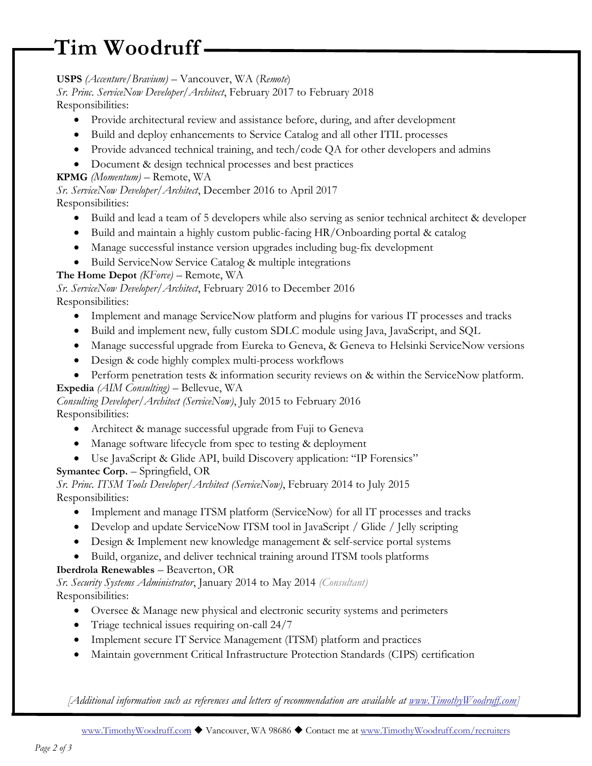# **Tim Woodruff**

# **USPS** *(Accenture/Bravium)* – Vancouver, WA (*Remote*)

*Sr. Princ. ServiceNow Developer/Architect*, February 2017 to February 2018 Responsibilities:

- Provide architectural review and assistance before, during, and after development
- Build and deploy enhancements to Service Catalog and all other ITIL processes
- Provide advanced technical training, and tech/code QA for other developers and admins
- Document & design technical processes and best practices

## **KPMG** *(Momentum)* – Remote, WA

*Sr. ServiceNow Developer/Architect*, December 2016 to April 2017

## Responsibilities:

- Build and lead a team of 5 developers while also serving as senior technical architect & developer
- Build and maintain a highly custom public-facing HR/Onboarding portal & catalog
- Manage successful instance version upgrades including bug-fix development
- Build ServiceNow Service Catalog & multiple integrations

# **The Home Depot** *(KForce)* – Remote, WA

*Sr. ServiceNow Developer/Architect*, February 2016 to December 2016 Responsibilities:

- Implement and manage ServiceNow platform and plugins for various IT processes and tracks
- Build and implement new, fully custom SDLC module using Java, JavaScript, and SQL
- Manage successful upgrade from Eureka to Geneva, & Geneva to Helsinki ServiceNow versions
- Design & code highly complex multi-process workflows
- Perform penetration tests & information security reviews on & within the ServiceNow platform.

# **Expedia** *(AIM Consulting)* – Bellevue, WA

*Consulting Developer/Architect (ServiceNow)*, July 2015 to February 2016 Responsibilities:

- Architect & manage successful upgrade from Fuji to Geneva
- Manage software lifecycle from spec to testing & deployment
- Use JavaScript & Glide API, build Discovery application: "IP Forensics"

# **Symantec Corp.** – Springfield, OR

*Sr. Princ. ITSM Tools Developer/Architect (ServiceNow)*, February 2014 to July 2015 Responsibilities:

- Implement and manage ITSM platform (ServiceNow) for all IT processes and tracks
- Develop and update ServiceNow ITSM tool in JavaScript / Glide / Jelly scripting
- Design & Implement new knowledge management & self-service portal systems
- Build, organize, and deliver technical training around ITSM tools platforms

# **Iberdrola Renewables** – Beaverton, OR

*Sr. Security Systems Administrator*, January 2014 to May 2014 *(Consultant)*  Responsibilities:

- Oversee & Manage new physical and electronic security systems and perimeters
- Triage technical issues requiring on-call 24/7
- Implement secure IT Service Management (ITSM) platform and practices
- Maintain government Critical Infrastructure Protection Standards (CIPS) certification

*[Additional information such as references and letters of recommendation are available at [www.TimothyWoodruff.com\]](https://d.docs.live.net/3e8a4bce513a4e0c/Work/ServiceNow%20Guys%20SHARED/Docs/Resumes/Tim/www.TimothyWoodruff.com)*